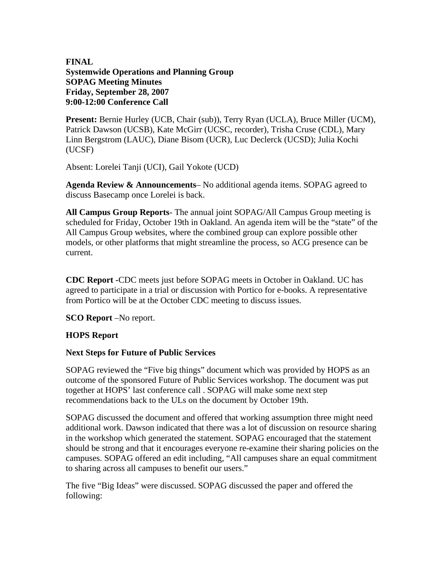## **FINAL Systemwide Operations and Planning Group SOPAG Meeting Minutes Friday, September 28, 2007 9:00-12:00 Conference Call**

**Present:** Bernie Hurley (UCB, Chair (sub)), Terry Ryan (UCLA), Bruce Miller (UCM), Patrick Dawson (UCSB), Kate McGirr (UCSC, recorder), Trisha Cruse (CDL), Mary Linn Bergstrom (LAUC), Diane Bisom (UCR), Luc Declerck (UCSD); Julia Kochi (UCSF)

Absent: Lorelei Tanji (UCI), Gail Yokote (UCD)

**Agenda Review & Announcements**– No additional agenda items. SOPAG agreed to discuss Basecamp once Lorelei is back.

**All Campus Group Reports**- The annual joint SOPAG/All Campus Group meeting is scheduled for Friday, October 19th in Oakland. An agenda item will be the "state" of the All Campus Group websites, where the combined group can explore possible other models, or other platforms that might streamline the process, so ACG presence can be current.

**CDC Report -**CDC meets just before SOPAG meets in October in Oakland. UC has agreed to participate in a trial or discussion with Portico for e-books. A representative from Portico will be at the October CDC meeting to discuss issues.

**SCO Report** –No report.

## **HOPS Report**

## **Next Steps for Future of Public Services**

SOPAG reviewed the "Five big things" document which was provided by HOPS as an outcome of the sponsored Future of Public Services workshop. The document was put together at HOPS' last conference call . SOPAG will make some next step recommendations back to the ULs on the document by October 19th.

SOPAG discussed the document and offered that working assumption three might need additional work. Dawson indicated that there was a lot of discussion on resource sharing in the workshop which generated the statement. SOPAG encouraged that the statement should be strong and that it encourages everyone re-examine their sharing policies on the campuses. SOPAG offered an edit including, "All campuses share an equal commitment to sharing across all campuses to benefit our users."

The five "Big Ideas" were discussed. SOPAG discussed the paper and offered the following: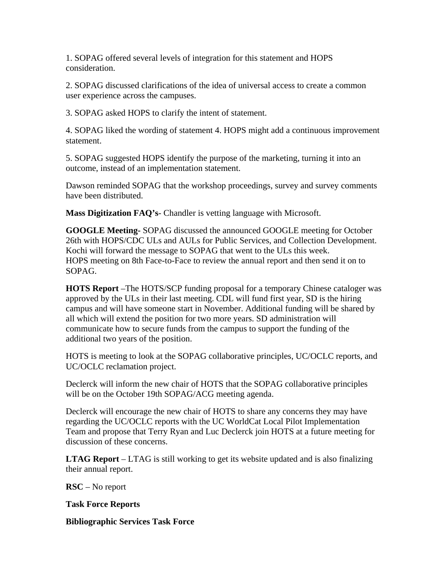1. SOPAG offered several levels of integration for this statement and HOPS consideration.

2. SOPAG discussed clarifications of the idea of universal access to create a common user experience across the campuses.

3. SOPAG asked HOPS to clarify the intent of statement.

4. SOPAG liked the wording of statement 4. HOPS might add a continuous improvement statement.

5. SOPAG suggested HOPS identify the purpose of the marketing, turning it into an outcome, instead of an implementation statement.

Dawson reminded SOPAG that the workshop proceedings, survey and survey comments have been distributed.

**Mass Digitization FAQ's**- Chandler is vetting language with Microsoft.

**GOOGLE Meeting-** SOPAG discussed the announced GOOGLE meeting for October 26th with HOPS/CDC ULs and AULs for Public Services, and Collection Development. Kochi will forward the message to SOPAG that went to the ULs this week. HOPS meeting on 8th Face-to-Face to review the annual report and then send it on to SOPAG.

**HOTS Report** –The HOTS/SCP funding proposal for a temporary Chinese cataloger was approved by the ULs in their last meeting. CDL will fund first year, SD is the hiring campus and will have someone start in November. Additional funding will be shared by all which will extend the position for two more years. SD administration will communicate how to secure funds from the campus to support the funding of the additional two years of the position.

HOTS is meeting to look at the SOPAG collaborative principles, UC/OCLC reports, and UC/OCLC reclamation project.

Declerck will inform the new chair of HOTS that the SOPAG collaborative principles will be on the October 19th SOPAG/ACG meeting agenda.

Declerck will encourage the new chair of HOTS to share any concerns they may have regarding the UC/OCLC reports with the UC WorldCat Local Pilot Implementation Team and propose that Terry Ryan and Luc Declerck join HOTS at a future meeting for discussion of these concerns.

**LTAG Report** – LTAG is still working to get its website updated and is also finalizing their annual report.

**RSC** – No report

**Task Force Reports**

**Bibliographic Services Task Force**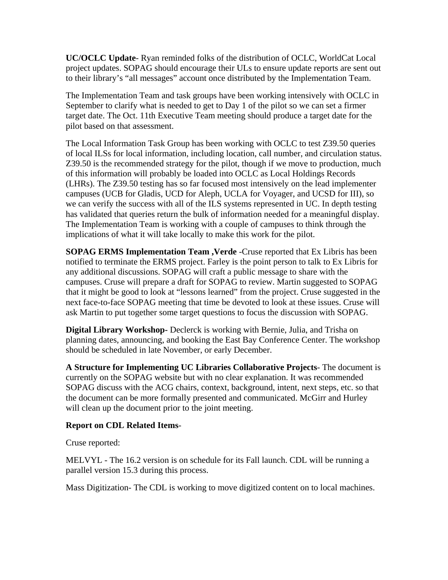**UC/OCLC Update**- Ryan reminded folks of the distribution of OCLC, WorldCat Local project updates. SOPAG should encourage their ULs to ensure update reports are sent out to their library's "all messages" account once distributed by the Implementation Team.

The Implementation Team and task groups have been working intensively with OCLC in September to clarify what is needed to get to Day 1 of the pilot so we can set a firmer target date. The Oct. 11th Executive Team meeting should produce a target date for the pilot based on that assessment.

The Local Information Task Group has been working with OCLC to test Z39.50 queries of local ILSs for local information, including location, call number, and circulation status. Z39.50 is the recommended strategy for the pilot, though if we move to production, much of this information will probably be loaded into OCLC as Local Holdings Records (LHRs). The Z39.50 testing has so far focused most intensively on the lead implementer campuses (UCB for Gladis, UCD for Aleph, UCLA for Voyager, and UCSD for III), so we can verify the success with all of the ILS systems represented in UC. In depth testing has validated that queries return the bulk of information needed for a meaningful display. The Implementation Team is working with a couple of campuses to think through the implications of what it will take locally to make this work for the pilot.

**SOPAG ERMS Implementation Team ,Verde** -Cruse reported that Ex Libris has been notified to terminate the ERMS project. Farley is the point person to talk to Ex Libris for any additional discussions. SOPAG will craft a public message to share with the campuses. Cruse will prepare a draft for SOPAG to review. Martin suggested to SOPAG that it might be good to look at "lessons learned" from the project. Cruse suggested in the next face-to-face SOPAG meeting that time be devoted to look at these issues. Cruse will ask Martin to put together some target questions to focus the discussion with SOPAG.

**Digital Library Workshop-** Declerck is working with Bernie, Julia, and Trisha on planning dates, announcing, and booking the East Bay Conference Center. The workshop should be scheduled in late November, or early December.

**A Structure for Implementing UC Libraries Collaborative Projects**- The document is currently on the SOPAG website but with no clear explanation. It was recommended SOPAG discuss with the ACG chairs, context, background, intent, next steps, etc. so that the document can be more formally presented and communicated. McGirr and Hurley will clean up the document prior to the joint meeting.

## **Report on CDL Related Items**-

Cruse reported:

MELVYL - The 16.2 version is on schedule for its Fall launch. CDL will be running a parallel version 15.3 during this process.

Mass Digitization- The CDL is working to move digitized content on to local machines.